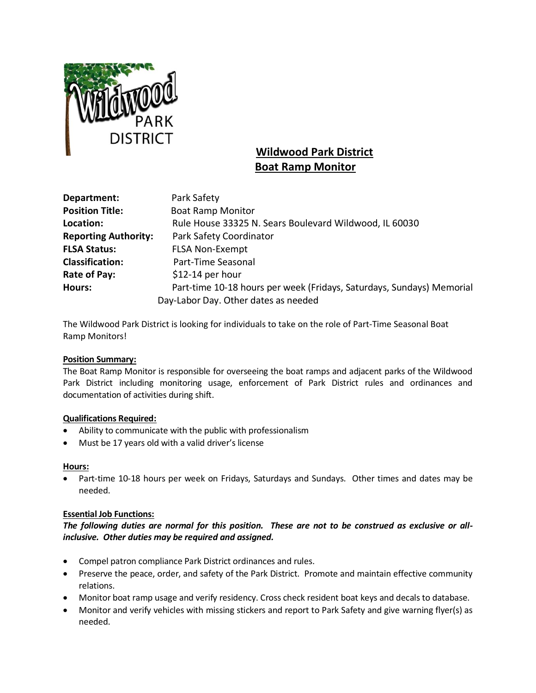

# **Wildwood Park District Boat Ramp Monitor**

| Department:                 | Park Safety                                                           |
|-----------------------------|-----------------------------------------------------------------------|
| <b>Position Title:</b>      | <b>Boat Ramp Monitor</b>                                              |
| Location:                   | Rule House 33325 N. Sears Boulevard Wildwood, IL 60030                |
| <b>Reporting Authority:</b> | Park Safety Coordinator                                               |
| <b>FLSA Status:</b>         | <b>FLSA Non-Exempt</b>                                                |
| <b>Classification:</b>      | Part-Time Seasonal                                                    |
| Rate of Pay:                | $$12-14$ per hour                                                     |
| <b>Hours:</b>               | Part-time 10-18 hours per week (Fridays, Saturdays, Sundays) Memorial |
|                             | Day-Labor Day. Other dates as needed                                  |

The Wildwood Park District is looking for individuals to take on the role of Part-Time Seasonal Boat Ramp Monitors!

### **Position Summary:**

The Boat Ramp Monitor is responsible for overseeing the boat ramps and adjacent parks of the Wildwood Park District including monitoring usage, enforcement of Park District rules and ordinances and documentation of activities during shift.

### **Qualifications Required:**

- Ability to communicate with the public with professionalism
- Must be 17 years old with a valid driver's license

### **Hours:**

• Part-time 10-18 hours per week on Fridays, Saturdays and Sundays. Other times and dates may be needed.

### **Essential Job Functions:**

## *The following duties are normal for this position. These are not to be construed as exclusive or allinclusive. Other duties may be required and assigned.*

- Compel patron compliance Park District ordinances and rules.
- Preserve the peace, order, and safety of the Park District. Promote and maintain effective community relations.
- Monitor boat ramp usage and verify residency. Cross check resident boat keys and decals to database.
- Monitor and verify vehicles with missing stickers and report to Park Safety and give warning flyer(s) as needed.